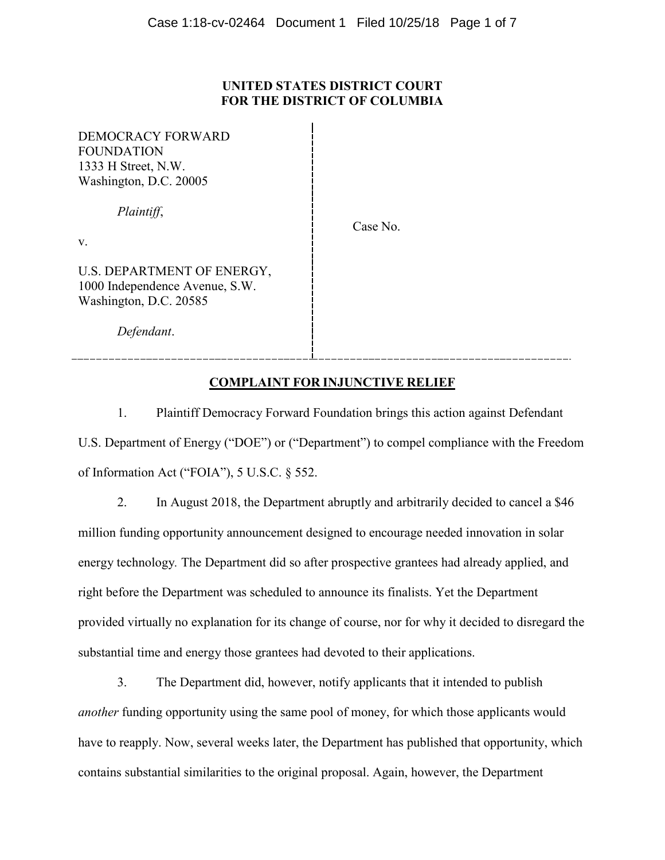## **UNITED STATES DISTRICT COURT FOR THE DISTRICT OF COLUMBIA**

DEMOCRACY FORWARD FOUNDATION 1333 H Street, N.W. Washington, D.C. 20005

*Plaintiff*,

Case No.

v.

U.S. DEPARTMENT OF ENERGY, 1000 Independence Avenue, S.W. Washington, D.C. 20585

*Defendant*.

# **COMPLAINT FOR INJUNCTIVE RELIEF**

1. Plaintiff Democracy Forward Foundation brings this action against Defendant U.S. Department of Energy ("DOE") or ("Department") to compel compliance with the Freedom of Information Act ("FOIA"), 5 U.S.C. § 552.

2. In August 2018, the Department abruptly and arbitrarily decided to cancel a \$46 million funding opportunity announcement designed to encourage needed innovation in solar energy technology*.* The Department did so after prospective grantees had already applied, and right before the Department was scheduled to announce its finalists. Yet the Department provided virtually no explanation for its change of course, nor for why it decided to disregard the substantial time and energy those grantees had devoted to their applications.

3. The Department did, however, notify applicants that it intended to publish *another* funding opportunity using the same pool of money, for which those applicants would have to reapply. Now, several weeks later, the Department has published that opportunity, which contains substantial similarities to the original proposal. Again, however, the Department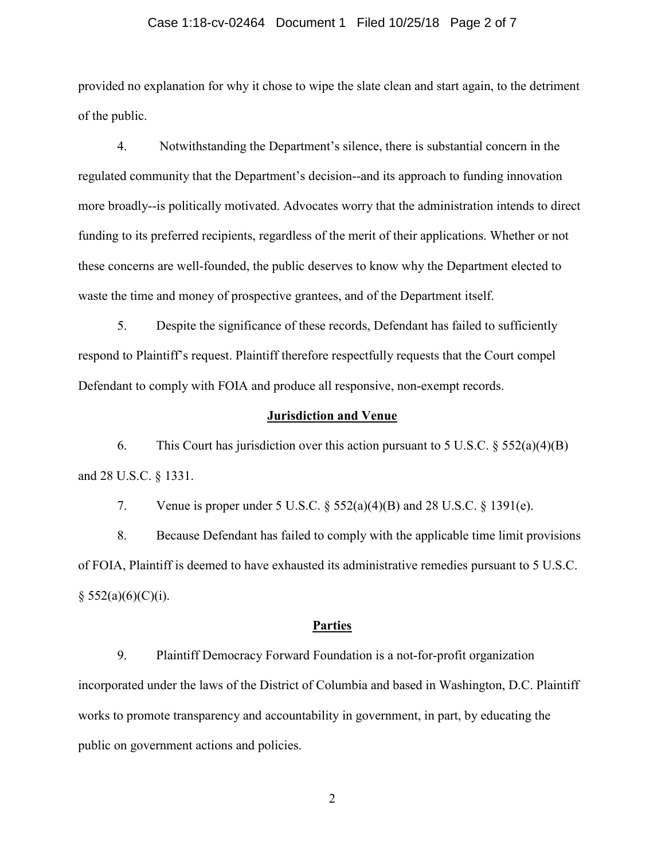#### Case 1:18-cv-02464 Document 1 Filed 10/25/18 Page 2 of 7

provided no explanation for why it chose to wipe the slate clean and start again, to the detriment of the public.

4. Notwithstanding the Department's silence, there is substantial concern in the regulated community that the Department's decision--and its approach to funding innovation more broadly--is politically motivated. Advocates worry that the administration intends to direct funding to its preferred recipients, regardless of the merit of their applications. Whether or not these concerns are well-founded, the public deserves to know why the Department elected to waste the time and money of prospective grantees, and of the Department itself.

5. Despite the significance of these records, Defendant has failed to sufficiently respond to Plaintiff's request. Plaintiff therefore respectfully requests that the Court compel Defendant to comply with FOIA and produce all responsive, non-exempt records.

### **Jurisdiction and Venue**

6. This Court has jurisdiction over this action pursuant to 5 U.S.C.  $\S 552(a)(4)(B)$ and 28 U.S.C. § 1331.

7. Venue is proper under 5 U.S.C.  $\S 552(a)(4)(B)$  and 28 U.S.C.  $\S 1391(e)$ .

8. Because Defendant has failed to comply with the applicable time limit provisions of FOIA, Plaintiff is deemed to have exhausted its administrative remedies pursuant to 5 U.S.C.  $§$  552(a)(6)(C)(i).

#### **Parties**

9. Plaintiff Democracy Forward Foundation is a not-for-profit organization incorporated under the laws of the District of Columbia and based in Washington, D.C. Plaintiff works to promote transparency and accountability in government, in part, by educating the public on government actions and policies.

2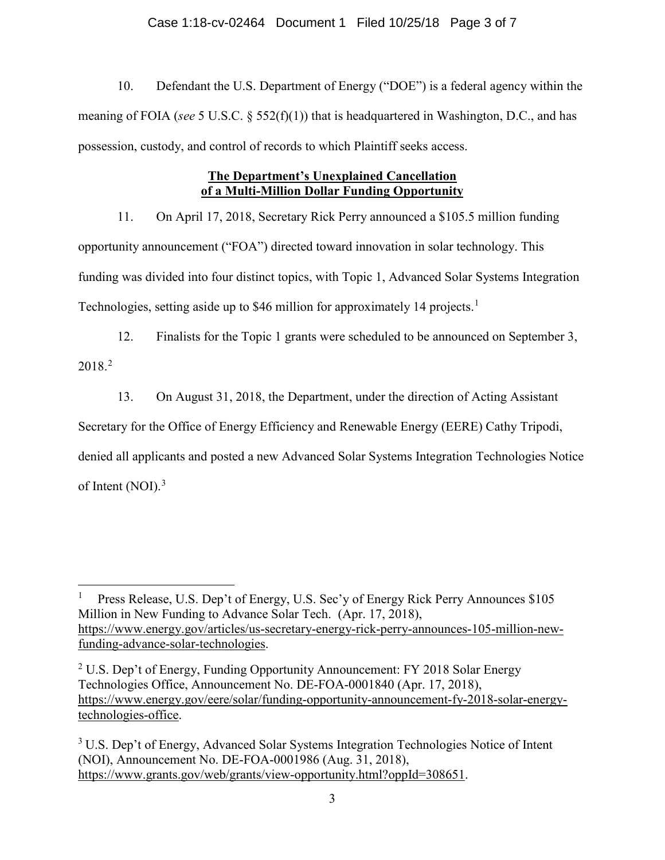## Case 1:18-cv-02464 Document 1 Filed 10/25/18 Page 3 of 7

10. Defendant the U.S. Department of Energy ("DOE") is a federal agency within the meaning of FOIA (*see* 5 U.S.C. § 552(f)(1)) that is headquartered in Washington, D.C., and has possession, custody, and control of records to which Plaintiff seeks access.

# **The Department's Unexplained Cancellation of a Multi-Million Dollar Funding Opportunity**

11. On April 17, 2018, Secretary Rick Perry announced a \$105.5 million funding opportunity announcement ("FOA") directed toward innovation in solar technology. This funding was divided into four distinct topics, with Topic 1, Advanced Solar Systems Integration Technologies, setting aside up to \$46 million for approximately [1](#page-2-0)4 projects.<sup>1</sup>

12. Finalists for the Topic 1 grants were scheduled to be announced on September 3, 2018.[2](#page-2-1)

13. On August 31, 2018, the Department, under the direction of Acting Assistant

Secretary for the Office of Energy Efficiency and Renewable Energy (EERE) Cathy Tripodi,

denied all applicants and posted a new Advanced Solar Systems Integration Technologies Notice

of Intent (NOI).<sup>[3](#page-2-2)</sup>

<span id="page-2-0"></span>Press Release, U.S. Dep't of Energy, U.S. Sec'y of Energy Rick Perry Announces \$105 Million in New Funding to Advance Solar Tech. (Apr. 17, 2018), [https://www.energy.gov/articles/us-secretary-energy-rick-perry-announces-105-million-new](https://www.energy.gov/articles/us-secretary-energy-rick-perry-announces-105-million-new-funding-advance-solar-technologies)[funding-advance-solar-technologies.](https://www.energy.gov/articles/us-secretary-energy-rick-perry-announces-105-million-new-funding-advance-solar-technologies)

<span id="page-2-1"></span><sup>&</sup>lt;sup>2</sup> U.S. Dep't of Energy, Funding Opportunity Announcement: FY 2018 Solar Energy Technologies Office, Announcement No. DE-FOA-0001840 (Apr. 17, 2018), [https://www.energy.gov/eere/solar/funding-opportunity-announcement-fy-2018-solar-energy](https://www.energy.gov/eere/solar/funding-opportunity-announcement-fy-2018-solar-energy-technologies-office)[technologies-office.](https://www.energy.gov/eere/solar/funding-opportunity-announcement-fy-2018-solar-energy-technologies-office)

<span id="page-2-2"></span><sup>&</sup>lt;sup>3</sup> U.S. Dep't of Energy, Advanced Solar Systems Integration Technologies Notice of Intent (NOI), Announcement No. DE-FOA-0001986 (Aug. 31, 2018), [https://www.grants.gov/web/grants/view-opportunity.html?oppId=308651.](https://www.grants.gov/web/grants/view-opportunity.html?oppId=308651)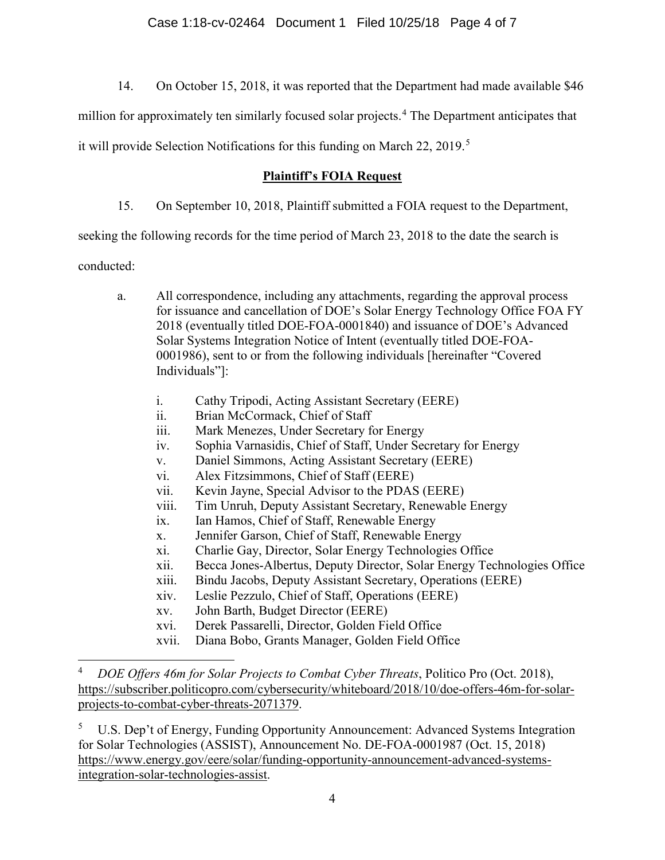14. On October 15, 2018, it was reported that the Department had made available \$46

million for approximately ten similarly focused solar projects.<sup>[4](#page-3-0)</sup> The Department anticipates that

it will provide Selection Notifications for this funding on March 22, 2019.<sup>[5](#page-3-1)</sup>

# **Plaintiff's FOIA Request**

15. On September 10, 2018, Plaintiff submitted a FOIA request to the Department,

seeking the following records for the time period of March 23, 2018 to the date the search is

conducted:

- a. All correspondence, including any attachments, regarding the approval process for issuance and cancellation of DOE's Solar Energy Technology Office FOA FY 2018 (eventually titled DOE-FOA-0001840) and issuance of DOE's Advanced Solar Systems Integration Notice of Intent (eventually titled DOE-FOA-0001986), sent to or from the following individuals [hereinafter "Covered Individuals"]:
	- i. Cathy Tripodi, Acting Assistant Secretary (EERE)
	- ii. Brian McCormack, Chief of Staff
	- iii. Mark Menezes, Under Secretary for Energy
	- iv. Sophia Varnasidis, Chief of Staff, Under Secretary for Energy
	- v. Daniel Simmons, Acting Assistant Secretary (EERE)
	- vi. Alex Fitzsimmons, Chief of Staff (EERE)
	- vii. Kevin Jayne, Special Advisor to the PDAS (EERE)
	- viii. Tim Unruh, Deputy Assistant Secretary, Renewable Energy
	- ix. Ian Hamos, Chief of Staff, Renewable Energy
	- x. Jennifer Garson, Chief of Staff, Renewable Energy
	- xi. Charlie Gay, Director, Solar Energy Technologies Office
	- xii. Becca Jones-Albertus, Deputy Director, Solar Energy Technologies Office
	- xiii. Bindu Jacobs, Deputy Assistant Secretary, Operations (EERE)
	- xiv. Leslie Pezzulo, Chief of Staff, Operations (EERE)
	- xv. John Barth, Budget Director (EERE)
	- xvi. Derek Passarelli, Director, Golden Field Office
	- xvii. Diana Bobo, Grants Manager, Golden Field Office

<span id="page-3-1"></span><sup>5</sup> U.S. Dep't of Energy, Funding Opportunity Announcement: Advanced Systems Integration for Solar Technologies (ASSIST), Announcement No. DE-FOA-0001987 (Oct. 15, 2018) [https://www.energy.gov/eere/solar/funding-opportunity-announcement-advanced-systems](https://www.energy.gov/eere/solar/funding-opportunity-announcement-advanced-systems-integration-solar-technologies-assist)[integration-solar-technologies-assist.](https://www.energy.gov/eere/solar/funding-opportunity-announcement-advanced-systems-integration-solar-technologies-assist)

<span id="page-3-0"></span> <sup>4</sup> *DOE Offers 46m for Solar Projects to Combat Cyber Threats*, Politico Pro (Oct. 2018), [https://subscriber.politicopro.com/cybersecurity/whiteboard/2018/10/doe-offers-46m-for-solar](https://subscriber.politicopro.com/cybersecurity/whiteboard/2018/10/doe-offers-46m-for-solar-projects-to-combat-cyber-threats-2071379)[projects-to-combat-cyber-threats-2071379.](https://subscriber.politicopro.com/cybersecurity/whiteboard/2018/10/doe-offers-46m-for-solar-projects-to-combat-cyber-threats-2071379)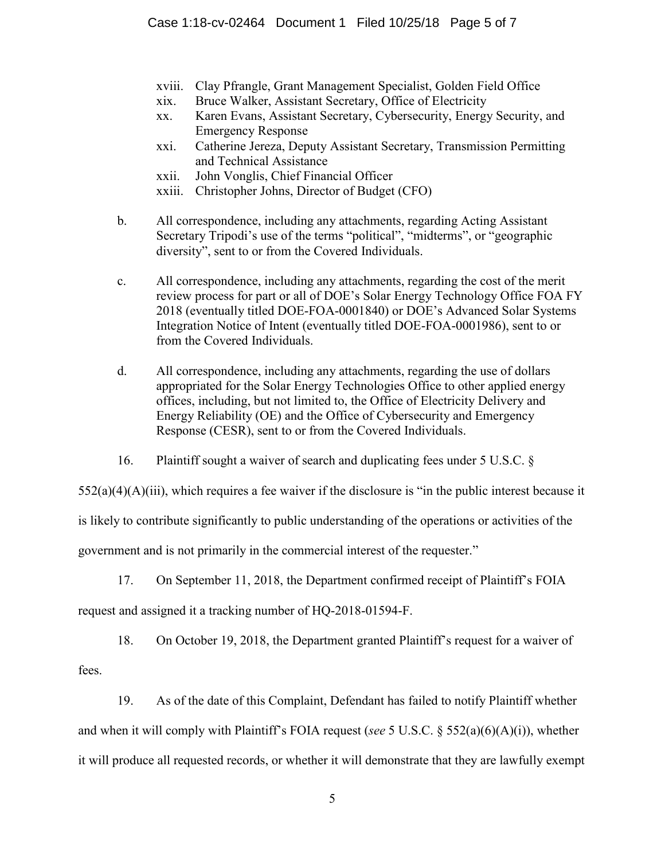- xviii. Clay Pfrangle, Grant Management Specialist, Golden Field Office
- xix. Bruce Walker, Assistant Secretary, Office of Electricity
- xx. Karen Evans, Assistant Secretary, Cybersecurity, Energy Security, and Emergency Response
- xxi. Catherine Jereza, Deputy Assistant Secretary, Transmission Permitting and Technical Assistance
- xxii. John Vonglis, Chief Financial Officer
- xxiii. Christopher Johns, Director of Budget (CFO)
- b. All correspondence, including any attachments, regarding Acting Assistant Secretary Tripodi's use of the terms "political", "midterms", or "geographic diversity", sent to or from the Covered Individuals.
- c. All correspondence, including any attachments, regarding the cost of the merit review process for part or all of DOE's Solar Energy Technology Office FOA FY 2018 (eventually titled DOE-FOA-0001840) or DOE's Advanced Solar Systems Integration Notice of Intent (eventually titled DOE-FOA-0001986), sent to or from the Covered Individuals.
- d. All correspondence, including any attachments, regarding the use of dollars appropriated for the Solar Energy Technologies Office to other applied energy offices, including, but not limited to, the Office of Electricity Delivery and Energy Reliability (OE) and the Office of Cybersecurity and Emergency Response (CESR), sent to or from the Covered Individuals.
- 16. Plaintiff sought a waiver of search and duplicating fees under 5 U.S.C. §

 $552(a)(4)(A)(iii)$ , which requires a fee waiver if the disclosure is "in the public interest because it

is likely to contribute significantly to public understanding of the operations or activities of the

government and is not primarily in the commercial interest of the requester."

17. On September 11, 2018, the Department confirmed receipt of Plaintiff's FOIA

request and assigned it a tracking number of HQ-2018-01594-F.

18. On October 19, 2018, the Department granted Plaintiff's request for a waiver of

fees.

19. As of the date of this Complaint, Defendant has failed to notify Plaintiff whether and when it will comply with Plaintiff's FOIA request (*see* 5 U.S.C. § 552(a)(6)(A)(i)), whether it will produce all requested records, or whether it will demonstrate that they are lawfully exempt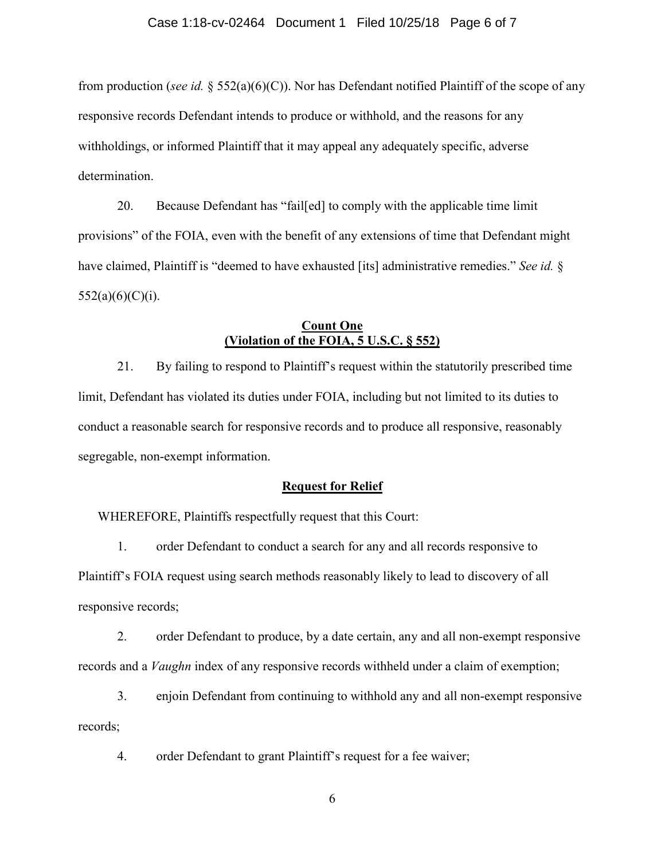from production (*see id.* § 552(a)(6)(C)). Nor has Defendant notified Plaintiff of the scope of any responsive records Defendant intends to produce or withhold, and the reasons for any withholdings, or informed Plaintiff that it may appeal any adequately specific, adverse determination.

20. Because Defendant has "fail[ed] to comply with the applicable time limit provisions" of the FOIA, even with the benefit of any extensions of time that Defendant might have claimed, Plaintiff is "deemed to have exhausted [its] administrative remedies." *See id.* §  $552(a)(6)(C)(i)$ .

## **Count One (Violation of the FOIA, 5 U.S.C. § 552)**

21. By failing to respond to Plaintiff's request within the statutorily prescribed time limit, Defendant has violated its duties under FOIA, including but not limited to its duties to conduct a reasonable search for responsive records and to produce all responsive, reasonably segregable, non-exempt information.

#### **Request for Relief**

WHEREFORE, Plaintiffs respectfully request that this Court:

1. order Defendant to conduct a search for any and all records responsive to Plaintiff's FOIA request using search methods reasonably likely to lead to discovery of all responsive records;

2. order Defendant to produce, by a date certain, any and all non-exempt responsive records and a *Vaughn* index of any responsive records withheld under a claim of exemption;

3. enjoin Defendant from continuing to withhold any and all non-exempt responsive records;

4. order Defendant to grant Plaintiff's request for a fee waiver;

6